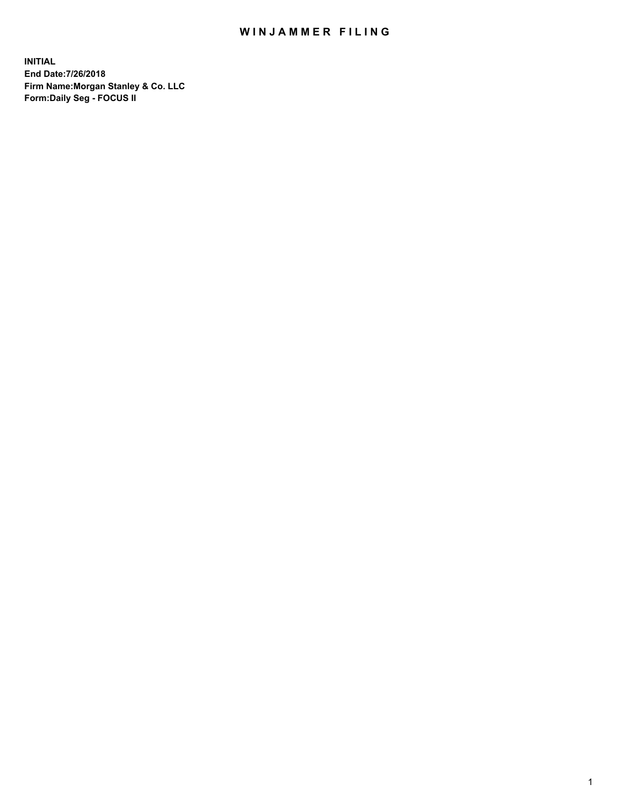## WIN JAMMER FILING

**INITIAL End Date:7/26/2018 Firm Name:Morgan Stanley & Co. LLC Form:Daily Seg - FOCUS II**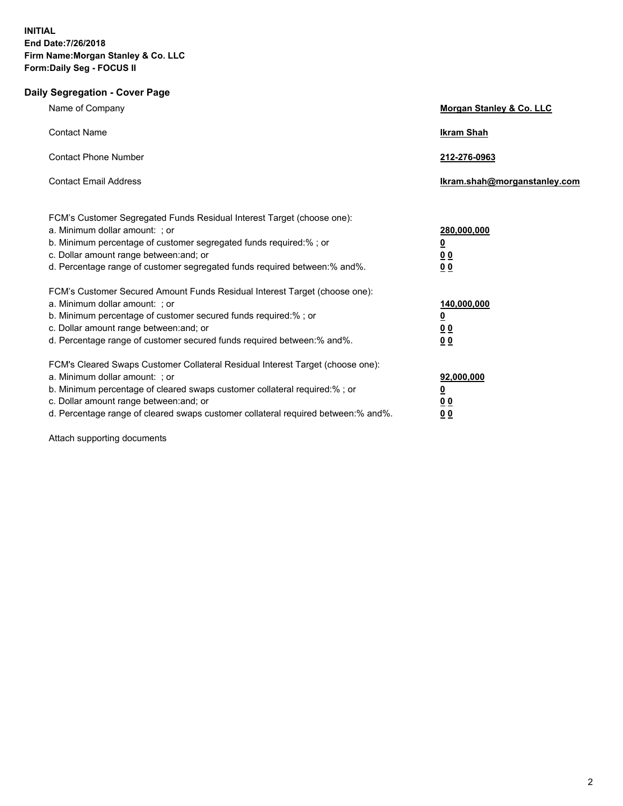## **Daily Segregation - Cover Page**

| Name of Company                                                                                                                                                                                                                                                                                                                  | Morgan Stanley & Co. LLC                                                  |
|----------------------------------------------------------------------------------------------------------------------------------------------------------------------------------------------------------------------------------------------------------------------------------------------------------------------------------|---------------------------------------------------------------------------|
| <b>Contact Name</b>                                                                                                                                                                                                                                                                                                              | <b>Ikram Shah</b>                                                         |
| <b>Contact Phone Number</b>                                                                                                                                                                                                                                                                                                      | 212-276-0963                                                              |
| <b>Contact Email Address</b>                                                                                                                                                                                                                                                                                                     | Ikram.shah@morganstanley.com                                              |
| FCM's Customer Segregated Funds Residual Interest Target (choose one):<br>a. Minimum dollar amount: ; or<br>b. Minimum percentage of customer segregated funds required:% ; or<br>c. Dollar amount range between: and; or<br>d. Percentage range of customer segregated funds required between:% and%.                           | 280,000,000<br>$\overline{\mathbf{0}}$<br>0 <sub>0</sub><br>00            |
| FCM's Customer Secured Amount Funds Residual Interest Target (choose one):<br>a. Minimum dollar amount: ; or<br>b. Minimum percentage of customer secured funds required:%; or<br>c. Dollar amount range between: and; or<br>d. Percentage range of customer secured funds required between: % and %.                            | 140,000,000<br>$\overline{\mathbf{0}}$<br><u>00</u><br>0 <sub>0</sub>     |
| FCM's Cleared Swaps Customer Collateral Residual Interest Target (choose one):<br>a. Minimum dollar amount: ; or<br>b. Minimum percentage of cleared swaps customer collateral required:% ; or<br>c. Dollar amount range between: and; or<br>d. Percentage range of cleared swaps customer collateral required between: % and %. | 92,000,000<br><u>0</u><br>$\underline{0} \underline{0}$<br>0 <sub>0</sub> |

Attach supporting documents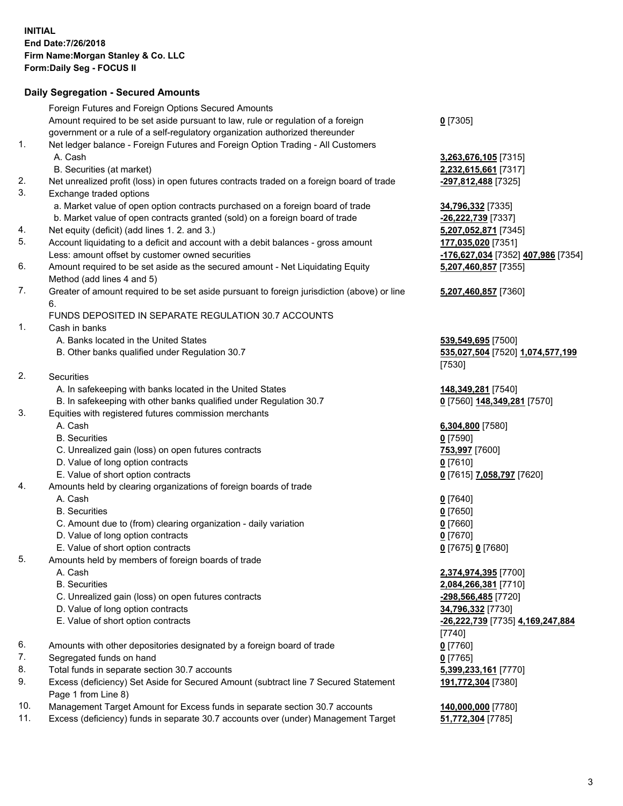## **Daily Segregation - Secured Amounts**

|     | Foreign Futures and Foreign Options Secured Amounts                                                                  |                                                              |
|-----|----------------------------------------------------------------------------------------------------------------------|--------------------------------------------------------------|
|     | Amount required to be set aside pursuant to law, rule or regulation of a foreign                                     | $0$ [7305]                                                   |
| 1.  | government or a rule of a self-regulatory organization authorized thereunder                                         |                                                              |
|     | Net ledger balance - Foreign Futures and Foreign Option Trading - All Customers<br>A. Cash                           |                                                              |
|     |                                                                                                                      | 3,263,676,105 [7315]                                         |
| 2.  | B. Securities (at market)                                                                                            | 2,232,615,661 [7317]                                         |
| 3.  | Net unrealized profit (loss) in open futures contracts traded on a foreign board of trade<br>Exchange traded options | -297,812,488 [7325]                                          |
|     | a. Market value of open option contracts purchased on a foreign board of trade                                       | 34,796,332 [7335]                                            |
|     | b. Market value of open contracts granted (sold) on a foreign board of trade                                         | -26,222,739 [7337]                                           |
| 4.  | Net equity (deficit) (add lines 1.2. and 3.)                                                                         | 5,207,052,871 [7345]                                         |
| 5.  | Account liquidating to a deficit and account with a debit balances - gross amount                                    | 177,035,020 [7351]                                           |
|     | Less: amount offset by customer owned securities                                                                     | <mark>-176,627,034</mark> [7352] <mark>407,986</mark> [7354] |
| 6.  | Amount required to be set aside as the secured amount - Net Liquidating Equity                                       | 5,207,460,857 [7355]                                         |
|     | Method (add lines 4 and 5)                                                                                           |                                                              |
| 7.  | Greater of amount required to be set aside pursuant to foreign jurisdiction (above) or line<br>6.                    | 5,207,460,857 [7360]                                         |
|     | FUNDS DEPOSITED IN SEPARATE REGULATION 30.7 ACCOUNTS                                                                 |                                                              |
| 1.  | Cash in banks                                                                                                        |                                                              |
|     | A. Banks located in the United States                                                                                | 539,549,695 [7500]                                           |
|     | B. Other banks qualified under Regulation 30.7                                                                       | 535,027,504 [7520] 1,074,577,199                             |
|     |                                                                                                                      | [7530]                                                       |
| 2.  | Securities                                                                                                           |                                                              |
|     | A. In safekeeping with banks located in the United States                                                            | 148, 349, 281 [7540]                                         |
|     | B. In safekeeping with other banks qualified under Regulation 30.7                                                   | 0 [7560] 148,349,281 [7570]                                  |
| 3.  | Equities with registered futures commission merchants                                                                |                                                              |
|     | A. Cash                                                                                                              | 6,304,800 [7580]                                             |
|     | <b>B.</b> Securities                                                                                                 | $0$ [7590]                                                   |
|     | C. Unrealized gain (loss) on open futures contracts                                                                  | 753,997 [7600]                                               |
|     | D. Value of long option contracts                                                                                    | $0$ [7610]                                                   |
|     | E. Value of short option contracts                                                                                   | 0 [7615] 7,058,797 [7620]                                    |
| 4.  | Amounts held by clearing organizations of foreign boards of trade                                                    |                                                              |
|     | A. Cash                                                                                                              | $0$ [7640]                                                   |
|     | <b>B.</b> Securities                                                                                                 | $0$ [7650]                                                   |
|     | C. Amount due to (from) clearing organization - daily variation                                                      | $0$ [7660]                                                   |
|     | D. Value of long option contracts                                                                                    | $0$ [7670]                                                   |
|     | E. Value of short option contracts                                                                                   | 0 [7675] 0 [7680]                                            |
| 5.  | Amounts held by members of foreign boards of trade                                                                   |                                                              |
|     | A. Cash                                                                                                              | 2,374,974,395 [7700]                                         |
|     | <b>B.</b> Securities                                                                                                 | 2,084,266,381 [7710]                                         |
|     | C. Unrealized gain (loss) on open futures contracts                                                                  | -298,566,485 [7720]                                          |
|     | D. Value of long option contracts                                                                                    | 34,796,332 [7730]                                            |
|     | E. Value of short option contracts                                                                                   | -26,222,739 [7735] 4,169,247,884                             |
|     |                                                                                                                      | $[7740]$                                                     |
| 6.  | Amounts with other depositories designated by a foreign board of trade                                               | $0$ [7760]                                                   |
| 7.  | Segregated funds on hand                                                                                             | $0$ [7765]                                                   |
| 8.  | Total funds in separate section 30.7 accounts                                                                        | 5,399,233,161 [7770]                                         |
| 9.  | Excess (deficiency) Set Aside for Secured Amount (subtract line 7 Secured Statement<br>Page 1 from Line 8)           | 191,772,304 [7380]                                           |
| 10. | Management Target Amount for Excess funds in separate section 30.7 accounts                                          | 140,000,000 [7780]                                           |
| 11. | Excess (deficiency) funds in separate 30.7 accounts over (under) Management Target                                   | 51,772,304 [7785]                                            |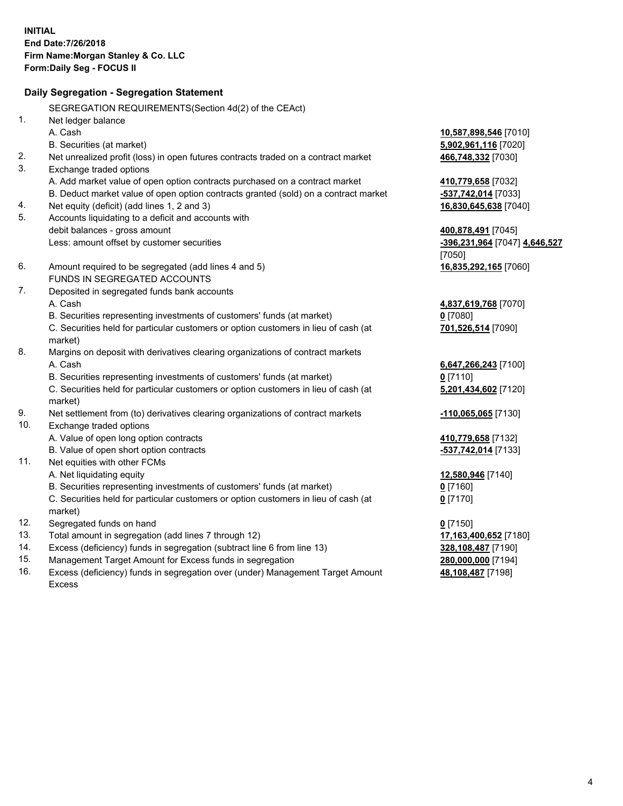|     | Daily Segregation - Segregation Statement                                           |                               |
|-----|-------------------------------------------------------------------------------------|-------------------------------|
|     | SEGREGATION REQUIREMENTS(Section 4d(2) of the CEAct)                                |                               |
| 1.  | Net ledger balance                                                                  |                               |
|     | A. Cash                                                                             | 10,587,898,546 [7010]         |
|     | B. Securities (at market)                                                           | 5,902,961,116 [7020]          |
| 2.  | Net unrealized profit (loss) in open futures contracts traded on a contract market  | 466,748,332 [7030]            |
| 3.  | Exchange traded options                                                             |                               |
|     | A. Add market value of open option contracts purchased on a contract market         | 410,779,658 [7032]            |
|     | B. Deduct market value of open option contracts granted (sold) on a contract market | -537,742,014 [7033]           |
| 4.  | Net equity (deficit) (add lines 1, 2 and 3)                                         | 16,830,645,638 [7040]         |
| 5.  | Accounts liquidating to a deficit and accounts with                                 |                               |
|     | debit balances - gross amount                                                       | 400,878,491 [7045]            |
|     | Less: amount offset by customer securities                                          | -396,231,964 [7047] 4,646,527 |
|     |                                                                                     | [7050]                        |
| 6.  | Amount required to be segregated (add lines 4 and 5)                                | 16,835,292,165 [7060]         |
|     | FUNDS IN SEGREGATED ACCOUNTS                                                        |                               |
| 7.  | Deposited in segregated funds bank accounts                                         |                               |
|     | A. Cash                                                                             | 4,837,619,768 [7070]          |
|     | B. Securities representing investments of customers' funds (at market)              | $0$ [7080]                    |
|     | C. Securities held for particular customers or option customers in lieu of cash (at | 701,526,514 [7090]            |
|     | market)                                                                             |                               |
| 8.  | Margins on deposit with derivatives clearing organizations of contract markets      |                               |
|     | A. Cash                                                                             | 6,647,266,243 [7100]          |
|     | B. Securities representing investments of customers' funds (at market)              | $0$ [7110]                    |
|     | C. Securities held for particular customers or option customers in lieu of cash (at | 5,201,434,602 [7120]          |
|     | market)                                                                             |                               |
| 9.  | Net settlement from (to) derivatives clearing organizations of contract markets     | -110,065,065 [7130]           |
| 10. | Exchange traded options                                                             |                               |
|     | A. Value of open long option contracts                                              | 410,779,658 [7132]            |
|     | B. Value of open short option contracts                                             | -537,742,014 [7133]           |
| 11. | Net equities with other FCMs                                                        |                               |
|     | A. Net liquidating equity                                                           | 12,580,946 [7140]             |
|     | B. Securities representing investments of customers' funds (at market)              | $0$ [7160]                    |
|     | C. Securities held for particular customers or option customers in lieu of cash (at | $0$ [7170]                    |
|     | market)                                                                             |                               |
| 12. | Segregated funds on hand                                                            | $0$ [7150]                    |
| 13. | Total amount in segregation (add lines 7 through 12)                                | 17,163,400,652 [7180]         |
| 14. | Excess (deficiency) funds in segregation (subtract line 6 from line 13)             | 328,108,487 [7190]            |
| 15. | Management Target Amount for Excess funds in segregation                            | 280,000,000 [7194]            |

16. Excess (deficiency) funds in segregation over (under) Management Target Amount Excess

**48,108,487** [7198]